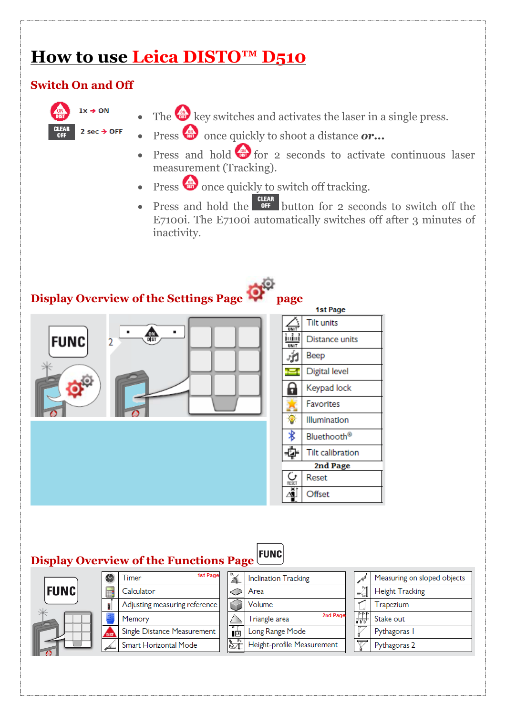# **How to use Leica DISTO™ D510**

#### **Switch On and Off**



- $\bullet$  The  $\overset{\bullet}{\bullet}$  key switches and activates the laser in a single press.
- Press **once** quickly to shoot a distance *or...*
- Press and hold  $\left( \frac{d}{d\theta} \right)$  for 2 seconds to activate continuous laser measurement (Tracking).
- Press once quickly to switch off tracking.
- Press and hold the  $\frac{CIEAR}{OFF}$  button for 2 seconds to switch off the E7100i. The E7100i automatically switches off after 3 minutes of inactivity.

# **Display Overview of the Settings Page page**



| 1st Page |                         |  |  |
|----------|-------------------------|--|--|
|          | <b>Tilt units</b>       |  |  |
| UNIT     | Distance units          |  |  |
|          | Beep                    |  |  |
|          | Digital level           |  |  |
|          | Keypad lock             |  |  |
|          | <b>Favorites</b>        |  |  |
|          | Illumination            |  |  |
|          | Bluethooth <sup>®</sup> |  |  |
|          | Tilt calibration        |  |  |
| 2nd Page |                         |  |  |
|          | Reset                   |  |  |
|          | Offset                  |  |  |

# **Display Overview of the Functions Page**

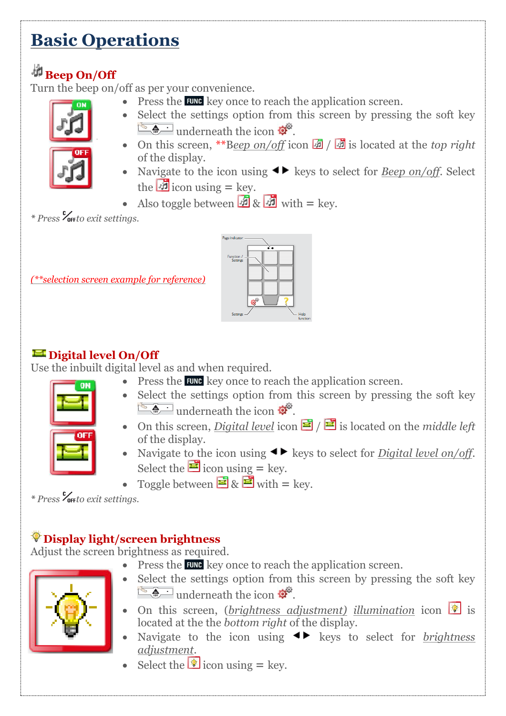# **Basic Operations**

# **Beep On/Off**

Turn the beep on/off as per your convenience.

 $\bullet$  Press the **EUNG** key once to reach the application screen. • Select the settings option from this screen by pressing the soft key



- $\bullet$  underneath the icon  $\bullet$ . • On this screen, \*\*Beep on/off icon **in** / is located at the *top right* of the display.
- Navigate to the icon using  $\blacktriangleleft\blacktriangleright$  keys to select for *Beep on/off.* Select the  $\mathbf{\vec{A}}$  icon using = key.
- Also toggle between  $\mathbf{A} \times \mathbf{B}$  with  $=$  key.

*\* Press to exit settings.*

*(\*\*selection screen example for reference)*



### $\blacksquare$  Digital level On/Off

Use the inbuilt digital level as and when required.



- $\bullet$  Press the **EUNG** key once to reach the application screen. • Select the settings option from this screen by pressing the soft key  $\bullet$  underneath the icon  $\phi^{\circ}$ .
- On this screen, *Digital level* icon  $\vec{E}$  /  $\vec{E}$  is located on the *middle left* of the display.
- Navigate to the icon using  $\blacktriangleleft\blacktriangleright$  keys to select for *Digital level on/off.* Select the  $\blacksquare$  icon using = key.
- Toggle between  $\mathbf{E} \& \mathbf{E}$  with  $=$  key.

*\* Press to exit settings.*

# **Display light/screen brightness**

Adjust the screen brightness as required.

 $\bullet$  Press the **EUNG** key once to reach the application screen.



- Select the settings option from this screen by pressing the soft key  $\frac{1}{2}$ underneath the icon  $\frac{1}{2}$
- **•** On this screen, (*brightness adjustment*) *illumination* icon **i** is located at the the *bottom right* of the display.
- Navigate to the icon using  $\leftrightarrow$  keys to select for *brightness adjustment*.
- $\bullet$  Select the **i**con using = key.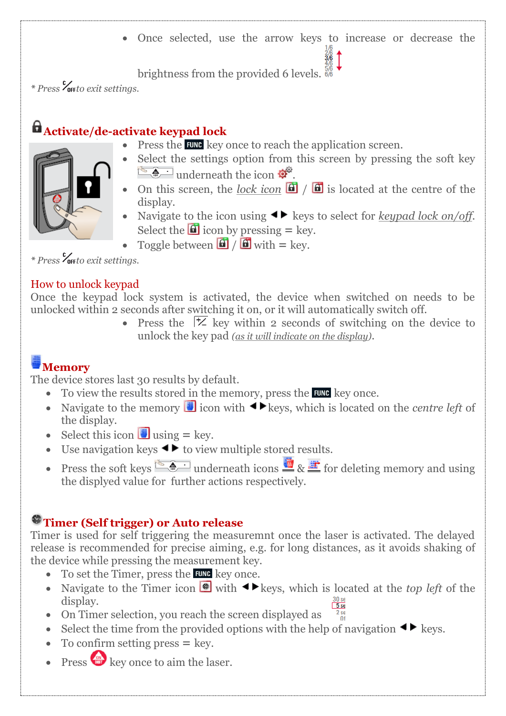Once selected, use the arrow keys to increase or decrease the

brightness from the provided 6 levels.

*\* Press to exit settings.*

# **Activate/de-activate keypad lock**

- 
- $\bullet$  Press the **EUNG** key once to reach the application screen.
- Select the settings option from this screen by pressing the soft key  $\bullet$  underneath the icon  $\bullet$ .
- On this screen, the <u>lock icon</u>  $\boxed{0}$  /  $\boxed{0}$  is located at the centre of the display.
- Navigate to the icon using  $\blacktriangleleft\blacktriangleright$  keys to select for *keypad lock on/off.* Select the  $\blacksquare$  icon by pressing  $=$  key.
- Toggle between  $\mathbf{G}$  /  $\mathbf{G}$  with = key.

*\* Press to exit settings.*

#### How to unlock keypad

Once the keypad lock system is activated, the device when switched on needs to be unlocked within 2 seconds after switching it on, or it will automatically switch off.

• Press the  $\vert \times \vert$  key within 2 seconds of switching on the device to unlock the key pad *(as it will indicate on the display)*.

# **Memory**

The device stores last 30 results by default.

- $\bullet$  To view the results stored in the memory, press the EUNE key once.
- Navigate to the memory  $\blacksquare$  icon with  $\blacktriangleleft\blacktriangleright$  keys, which is located on the *centre left* of the display.
- $\bullet$  Select this icon **U** using  $=$  key.
- Use navigation keys  $\blacktriangleleft\blacktriangleright$  to view multiple stored results.
- Press the soft keys **A** underneath icons  $\mathbf{w} \times \mathbf{F}$  for deleting memory and using the displyed value for further actions respectively.

### **Timer (Self trigger) or Auto release**

Timer is used for self triggering the measuremnt once the laser is activated. The delayed release is recommended for precise aiming, e.g. for long distances, as it avoids shaking of the device while pressing the measurement key.

- $\bullet$  To set the Timer, press the **FUNC** key once.
- Navigate to the Timer icon  $\bullet$  with  $\bullet$  keys, which is located at the *top left* of the display.
- On Timer selection, you reach the screen displayed as  $\frac{2 \text{ sec}}{0}$
- $\bullet$  Select the time from the provided options with the help of navigation  $\blacktriangleleft \blacktriangleright$  keys.
- $\bullet$  To confirm setting press  $=$  key.
- **Press**  $\frac{d\mathbf{r}}{d\mathbf{r}}$  key once to aim the laser.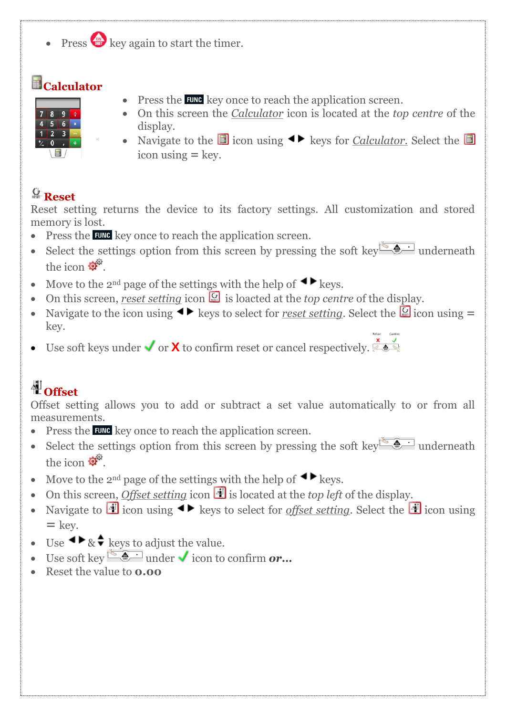$\cdot$  Press  $\bullet$  key again to start the timer.

# **Calculator**

- **III**
- $\bullet$  Press the **EUNG** key once to reach the application screen.
- On this screen the *Calculator* icon is located at the *top centre* of the display.
- Navigate to the **i**con using  $\blacklozenge$  keys for *Calculator*. Select the **i** icon using  $=$  key.

### **Reset**

Reset setting returns the device to its factory settings. All customization and stored memory is lost.

- Press the **EUNG** key once to reach the application screen.
- Select the settings option from this screen by pressing the soft key underneath the icon  $\mathbf{C}^{\mathcal{D}}$
- Move to the 2<sup>nd</sup> page of the settings with the help of  $\blacktriangleleft \blacktriangleright$  keys.
- On this screen, *reset setting* icon  $\mathbb{Q}$  is loacted at the *top centre* of the display.
- Navigate to the icon using  $\blacktriangleleft$  keys to select for *reset setting*. Select the  $\lceil \frac{1}{2} \rceil$  icon using  $=$ key.
- Use soft keys under  $\checkmark$  or  $\checkmark$  to confirm reset or cancel respectively.

# **相**Offset

Offset setting allows you to add or subtract a set value automatically to or from all measurements.

- Press the **EUNG** key once to reach the application screen.
- Select the settings option from this screen by pressing the soft key  $\bullet$  underneath the icon  $\mathbf{C}^{\mathcal{D}}$
- Move to the 2<sup>nd</sup> page of the settings with the help of  $\blacktriangleleft \blacktriangleright$  keys.
- On this screen, *Offset setting* icon  $\mathbf{A}$  is located at the *top left* of the display.
- Navigate to **i** icon using  $\blacktriangleleft$  keys to select for *offset setting*. Select the **i** icon using **=** key.
- Use  $\blacktriangleleft \blacktriangleright \& \blacklozenge$  keys to adjust the value.
- Use soft key  $\bullet$  under **v** icon to confirm *or*...
- Reset the value to **0.00**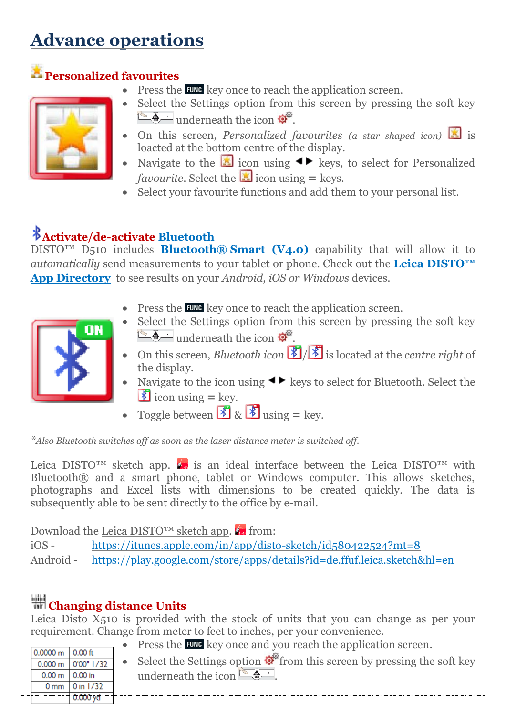# **Advance operations**

### **Personalized favourites**



- $\bullet$  Press the **EUNG** key once to reach the application screen.
- Select the Settings option from this screen by pressing the soft key  $\sqrt{\frac{1}{\omega}}$  underneath the icon  $\phi^{\alpha}$ .
- On this screen, *Personalized favourites (a star shaped icon)* is loacted at the bottom centre of the display.
- Navigate to the **ight** icon using  $\blacktriangle$  keys, to select for Personalized *favourite*. Select the **i** icon using  $=$  keys.
- Select your favourite functions and add them to your personal list.

# **Activate/de-activate Bluetooth**

DISTO™ D510 includes **Bluetooth® Smart (V4.0)** capability that will allow it to *automatically* send measurements to your tablet or phone. Check out the **[Leica DISTO™](http://disto.ddev.oomphcloud.com/leica-disto-app-directory/#app_directory)  [App Directory](http://disto.ddev.oomphcloud.com/leica-disto-app-directory/#app_directory)** to see results on your *Android, iOS or Windows* devices.

 $\bullet$  Press the **EUNG** key once to reach the application screen.



- Select the Settings option from this screen by pressing the soft key  $\bullet$  underneath the icon  $\bullet$ .
- On this screen, *Bluetooth icon* **8**/ **8** is located at the *centre right* of the display.
- Navigate to the icon using  $\blacktriangleleft\blacktriangleright$  keys to select for Bluetooth. Select the  $\bullet$  icon using = key.
- Toggle between  $\mathbb{Z}_8$   $\mathbb{Z}_9$  using = key.

*\*Also Bluetooth switches off as soon as the laser distance meter is switched off.*

Leica DISTO<sup>™</sup> sketch app.  $\bullet$  is an ideal interface between the Leica DISTO<sup>™</sup> with Bluetooth® and a smart phone, tablet or Windows computer. This allows sketches, photographs and Excel lists with dimensions to be created quickly. The data is subsequently able to be sent directly to the office by e-mail.

Download the Leica DISTO<sup>™</sup> sketch app.  $\blacktriangleright$  from:

iOS - <https://itunes.apple.com/in/app/disto-sketch/id580422524?mt=8>

Android - <https://play.google.com/store/apps/details?id=de.ffuf.leica.sketch&hl=en>

# **Changing distance Units**

Leica Disto  $\overline{X_5}$ 10 is provided with the stock of units that you can change as per your requirement. Change from meter to feet to inches, per your convenience.

 $\bullet$  Press the FUNG key once and you reach the application screen.

| $10.0000 \text{ m} + 0.00 \text{ ft}$ |                                     |                                                                                                    |
|---------------------------------------|-------------------------------------|----------------------------------------------------------------------------------------------------|
|                                       | 0.000 m 0'00" 1/32                  | • Select the Settings option $\mathcal{Q}^{\mathcal{P}}$ from this screen by pressing the soft key |
| $0.00 \text{ m}$   0.00 in            |                                     | underneath the icon                                                                                |
|                                       | $0 \text{ mm}$ $0 \text{ in } 1/32$ |                                                                                                    |
|                                       | 0.000yd                             |                                                                                                    |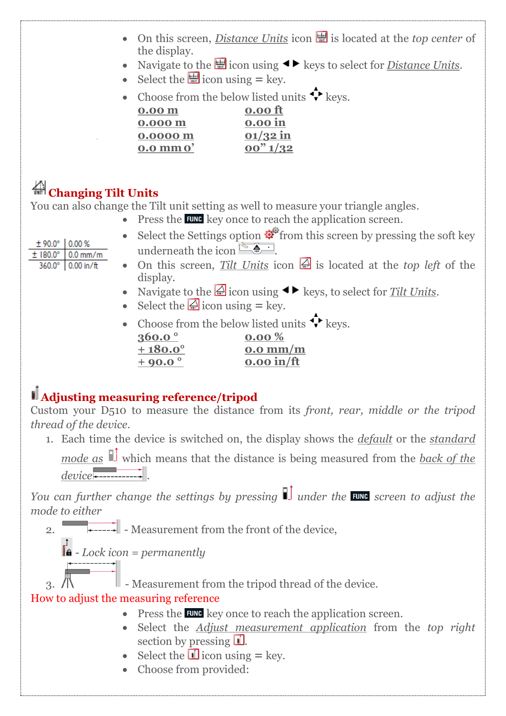- On this screen, *Distance Units* icon **is also to a set of** *center* of the display.
	- Navigate to the  $\blacksquare$  icon using  $\blacktriangleleft\blacktriangleright$  keys to select for *Distance Units*.
	- $\bullet$  Select the **i**con using = key.
	- Choose from the below listed units  $\hat{\mathbf{\cdot}}$  keys. **0.00 m 0.00 ft**

| 0.00 <sub>m</sub> |  |
|-------------------|--|
| 0.000 m           |  |
| 0.0000 m          |  |
| $0.0$ mm $0'$     |  |

# **Changing Tilt Units**

You can also change the Tilt unit setting as well to measure your triangle angles.

 $\bullet$  Press the **EUNG** key once to reach the application screen.

**0.000 m 0.00 in 01/32 in 0.0 mm0' 00" 1/32**

- ± 90.0° 0.00 %  $\pm$  180.0 $^{\circ}$  0.0 mm/m 360.0° 0.00 in/ft
- Select the Settings option  $\mathcal{L}^{\mathcal{L}}$  from this screen by pressing the soft key underneath the icon  $\left[\begin{array}{cc} \bullet & \bullet \\ \bullet & \bullet \end{array}\right]$
- On this screen, *Tilt Units* icon  $\mathbb{Z}$  is located at the *top left* of the display.
	- Navigate to the  $\triangle$  icon using  $\blacklozenge$  keys, to select for *Tilt Units*.
	- $\bullet$  Select the  $\bigcirc$  icon using = key.
	- Choose from the below listed units  $\mathbf{\hat{P}}$  keys.

| $360.0^{\circ}$  | $0.00\%$           |
|------------------|--------------------|
| $+180.0^{\circ}$ | $0.0 \text{ mm/m}$ |
| $+90.0^{\circ}$  | $0.00$ in/ft       |

# **Adjusting measuring reference/tripod**

Custom your D510 to measure the distance from its *front, rear, middle or the tripod thread of the device*.

1. Each time the device is switched on, the display shows the *default* or the *standard*

*mode as*  $\mathbb{I}$  which means that the distance is being measured from the <u>back of the</u> *device* .

*You can further change the settings by pressing*  $\prod$  *under the EUNE screen to adjust the mode to either*

2.  $\overrightarrow{ }$  - Measurement from the front of the device,

 $\mathbf{a}$  - *Lock icon* = permanently

 $\Box$  - Measurement from the tripod thread of the device.

#### How to adjust the measuring reference

- $\bullet$  Press the **EUNG** key once to reach the application screen.
- Select the *Adjust measurement application* from the *top right* section by pressing  $\Box$ .
- $\bullet$  Select the **i** icon using = key.
- Choose from provided: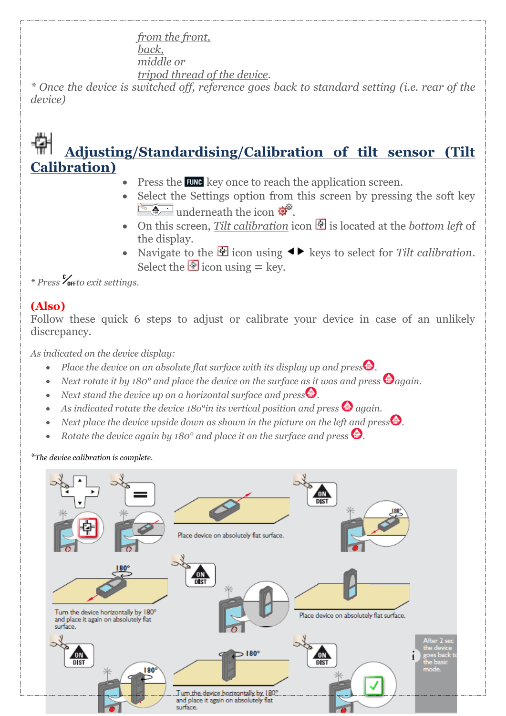*from the front, back, middle or tripod thread of the device.* 

*\* Once the device is switched off, reference goes back to standard setting (i.e. rear of the device)*

# **Adjusting/Standardising/Calibration of tilt sensor (Tilt Calibration)**

- Press the **FUNG** key once to reach the application screen.
- Select the Settings option from this screen by pressing the soft key  $\frac{1}{2}$ underneath the icon  $\frac{1}{2}$
- On this screen, *Tilt calibration* icon  $\Phi$  is located at the *bottom left* of the display.
- Navigate to the  $\bigcirc$  icon using  $\blacktriangleleft$  keys to select for *Tilt calibration*. Select the  $\Phi$  icon using  $=$  key.

*\* Press to exit settings.*

### **(Also)**

Follow these quick 6 steps to adjust or calibrate your device in case of an unlikely discrepancy.

*As indicated on the device display:*

- *Place the device on an absolute flat surface with its display up and press*.
- *Next rotate it by 180° and place the device on the surface as it was and press*  $\bigcirc$  *again.*
- *Next stand the device up on a horizontal surface and press*.
- As indicated rotate the device 180<sup>°</sup>in its vertical position and press  $\bigcirc$  again.
- *Next place the device upside down as shown in the picture on the left and press*.
- *Rotate the device again by 180° and place it on the surface and press*.

*\*The device calibration is complete.*

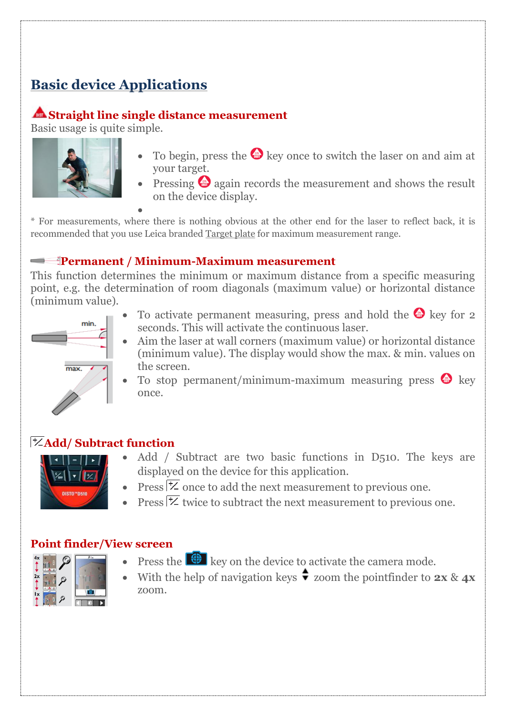# **Basic device Applications**

#### **Straight line single distance measurement**

Basic usage is quite simple.



- To begin, press the  $\bullet$  key once to switch the laser on and aim at your target.
- Pressing  $\bullet$  again records the measurement and shows the result on the device display.

 $\bullet$ \* For measurements, where there is nothing obvious at the other end for the laser to reflect back, it is recommended that you use Leica branded Target plate for maximum measurement range.

#### **Permanent / Minimum-Maximum measurement**

This function determines the minimum or maximum distance from a specific measuring point, e.g. the determination of room diagonals (maximum value) or horizontal distance (minimum value).



- To activate permanent measuring, press and hold the  $\bullet$  key for 2 seconds. This will activate the continuous laser.
- Aim the laser at wall corners (maximum value) or horizontal distance (minimum value). The display would show the max. & min. values on the screen.
- To stop permanent/minimum-maximum measuring press  $\bigodot$  key once.

#### **Add/ Subtract function**



 $\frac{2x}{1}$ 

- Add / Subtract are two basic functions in D510. The keys are displayed on the device for this application.
- Press  $\overline{\mathcal{Z}}$  once to add the next measurement to previous one.
- Press  $\frac{1}{2}$  twice to subtract the next measurement to previous one.

#### **Point finder/View screen**

- Press the  $\bigoplus$  key on the device to activate the camera mode.
- With the help of navigation keys  $\bullet$  zoom the pointfinder to **2x** & **4x** zoom.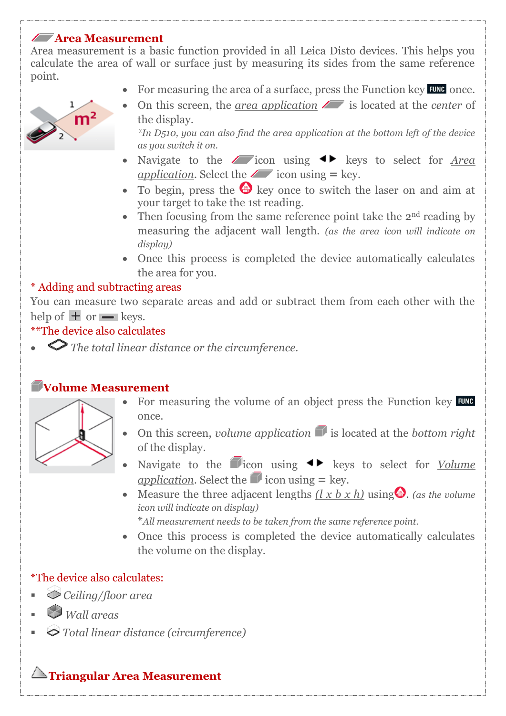#### **Area Measurement**

Area measurement is a basic function provided in all Leica Disto devices. This helps you calculate the area of wall or surface just by measuring its sides from the same reference point.

For measuring the area of a surface, press the Function key  $F^{\text{UNC}}$  once.



• On this screen, the *area application*  $\sqrt{ }$  is located at the *center* of the display.

*\*In D510, you can also find the area application at the bottom left of the device as you switch it on.* 

- Navigate to the  $\sqrt{\phantom{a}}$  icon using  $\blacklozenge$  keys to select for *Area application*. Select the  $\angle$  icon using = key.
- To begin, press the  $\bullet$  key once to switch the laser on and aim at your target to take the 1st reading.
- Then focusing from the same reference point take the  $2<sup>nd</sup>$  reading by measuring the adjacent wall length. *(as the area icon will indicate on display)*
- Once this process is completed the device automatically calculates the area for you.

#### \* Adding and subtracting areas

You can measure two separate areas and add or subtract them from each other with the help of  $\pm$  or  $\equiv$  keys.

#### \*\*The device also calculates

*The total linear distance or the circumference.*

#### **Volume Measurement**

- For measuring the volume of an object press the Function key FUNG once.
- On this screen, *volume application* is located at the *bottom right* of the display.
- Navigate to the **independent of the interval**  $\bullet \bullet$  keys to select for <u>Volume</u> application. Select the  $\blacksquare$  icon using  $=$  key.
- Measure the three adjacent lengths  $(l \times b \times h)$  using  $\bullet$ , (as the volume *icon will indicate on display)*

\**All measurement needs to be taken from the same reference point.*

 Once this process is completed the device automatically calculates the volume on the display.

#### \*The device also calculates:

- *Ceiling/floor area*
- *Wall areas*
- *Total linear distance (circumference)*

#### **Triangular Area Measurement**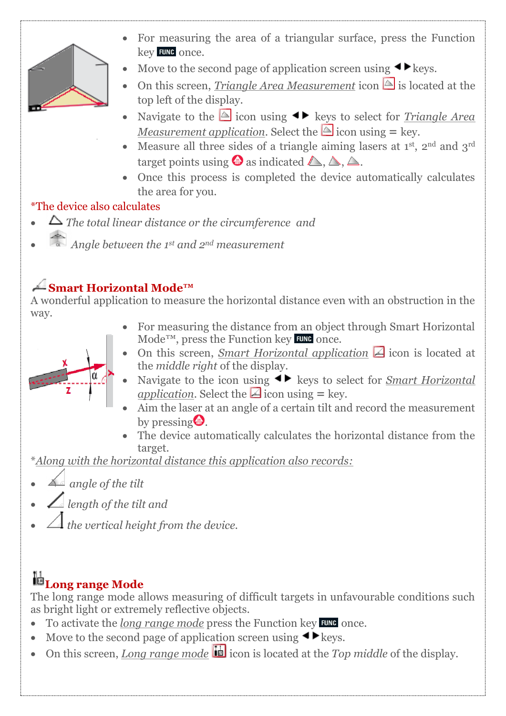

- For measuring the area of a triangular surface, press the Function key FUNC once.
- Move to the second page of application screen using  $\blacktriangleleft \blacktriangleright$  keys.
- On this screen, *Triangle Area Measurement* icon  $\triangle$  is located at the top left of the display.
- Navigate to the  $\triangle$  icon using  $\blacktriangle$  keys to select for *Triangle Area Measurement application.* Select the  $\triangle$  icon using  $=$  key.
- Measure all three sides of a triangle aiming lasers at  $1<sup>st</sup>$ ,  $2<sup>nd</sup>$  and  $3<sup>rd</sup>$ target points using  $\bullet$  as indicated  $\triangle$ ,  $\triangle$ ,  $\triangle$ .
- Once this process is completed the device automatically calculates the area for you.

#### \*The device also calculates

- *The total linear distance or the circumference and*
- *Angle between the 1st and 2nd measurement*

# **Smart Horizontal Mode™**

A wonderful application to measure the horizontal distance even with an obstruction in the way.

 For measuring the distance from an object through Smart Horizontal  $\text{Mode}^{\text{TM}}$ , press the Function key **EUNC** once.



- On this screen, *Smart Horizontal application* **4** icon is located at the *middle right* of the display.
- Navigate to the icon using  $\blacktriangleleft$  keys to select for *Smart Horizontal application*. Select the  $\triangle$  icon using = key.
- Aim the laser at an angle of a certain tilt and record the measurement by pressing  $\blacksquare$ .
- The device automatically calculates the horizontal distance from the target.

\**Along with the horizontal distance this application also records:*

- *angle of the tilt*
- *length of the tilt and*
- *the vertical height from the device.*

# l<sup>11</sup>Long range Mode

The long range mode allows measuring of difficult targets in unfavourable conditions such as bright light or extremely reflective objects.

- To activate the *long range mode* press the Function key **EUNC** once.
- Move to the second page of application screen using  $\blacktriangleleft \blacktriangleright$  keys.
- On this screen, *Long range mode* in its located at the *Top middle* of the display.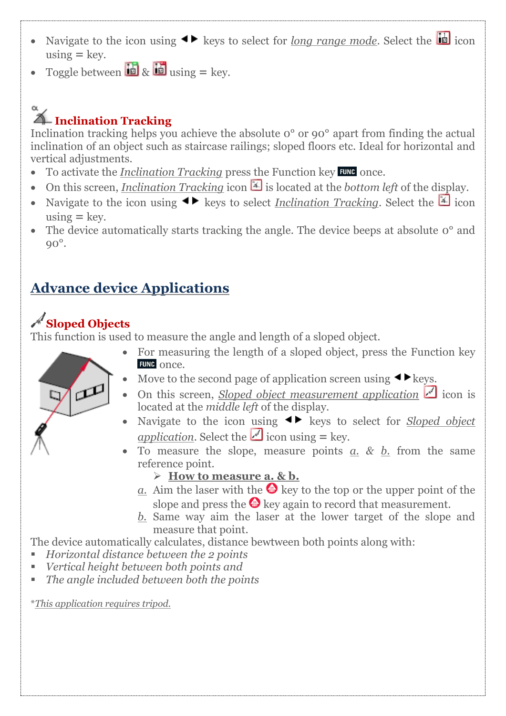- Navigate to the icon using  $\blacktriangleleft\blacktriangleright$  keys to select for <u>long range mode</u>. Select the  $\blacksquare$  icon  $using = \text{key}$ .
- Toggle between  $\mathbf{b} \times \mathbf{b}$  using  $=$  key.

# **Inclination Tracking**

 $\alpha$ 

Inclination tracking helps you achieve the absolute 0° or 90° apart from finding the actual inclination of an object such as staircase railings; sloped floors etc. Ideal for horizontal and vertical adjustments.

- To activate the *Inclination Tracking* press the Function key **EUNC** once.
- On this screen, *Inclination Tracking* icon  $\mathbb{E}$  is located at the *bottom left* of the display.
- Navigate to the icon using  $\blacktriangleleft$  keys to select *Inclination Tracking*. Select the  $\boxed{\mathbb{Z}}$  icon  $using = \text{key}$ .
- The device automatically starts tracking the angle. The device beeps at absolute  $o^{\circ}$  and 90°.

# **Advance device Applications**

# **Sloped Objects**

This function is used to measure the angle and length of a sloped object.



- For measuring the length of a sloped object, press the Function key FUNC once.
- Move to the second page of application screen using  $\blacktriangle$  keys.
- On this screen, *Sloped object measurement application*  $\leq$  icon is located at the *middle left* of the display.
- Navigate to the icon using  $\blacklozenge$  keys to select for *Sloped object application*. Select the **i** icon using  $=$  key.
- To measure the slope, measure points *a. & b.* from the same reference point.
	- **How to measure a. & b.**
	- *a*. Aim the laser with the  $\bullet$  key to the top or the upper point of the slope and press the  $\bullet$  key again to record that measurement.
	- *b.* Same way aim the laser at the lower target of the slope and measure that point.

The device automatically calculates, distance bewtween both points along with:

- *Horizontal distance between the 2 points*
- *Vertical height between both points and*
- *The angle included between both the points*

\**This application requires tripod.*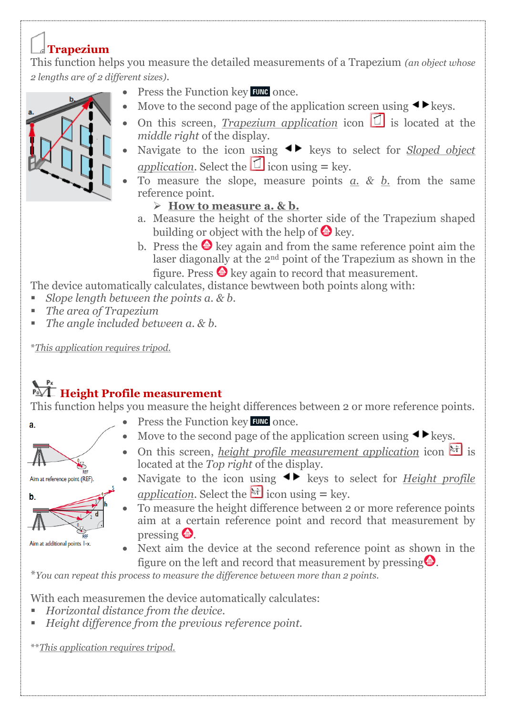### **Trapezium**

This function helps you measure the detailed measurements of a Trapezium *(an object whose 2 lengths are of 2 different sizes)*.

- $\bullet$  Press the Function key FUNG once.
- Move to the second page of the application screen using  $\blacktriangleleft \blacktriangleright$  keys.
- On this screen, *Trapezium application* icon  $\Box$  is located at the *middle right* of the display.
- Navigate to the icon using  $\blacktriangleleft$  keys to select for *Sloped object <u>application</u>*. Select the  $\Box$  icon using = key.
- To measure the slope, measure points *a. & b.* from the same reference point.
	- **How to measure a. & b.**
	- a. Measure the height of the shorter side of the Trapezium shaped building or object with the help of  $\bigoplus$  key.
	- b. Press the  $\bullet$  key again and from the same reference point aim the laser diagonally at the 2nd point of the Trapezium as shown in the figure. Press  $\bigoplus$  key again to record that measurement.

The device automatically calculates, distance bewtween both points along with:

- *Slope length between the points a. & b.*
- *The area of Trapezium*
- *The angle included between a. & b.*

\**This application requires tripod.*

# **Height Profile measurement**

This function helps you measure the height differences between 2 or more reference points.

- $\bullet$  Press the Function key FUNC once.
- $\bullet$  Move to the second page of the application screen using  $\blacktriangleleft \blacktriangleright$  keys.
- On this screen, *height profile measurement application* icon  $\mathbb{H}$  is located at the *Top right* of the display.
- Aim at reference point (REF). b.
- Aim at additional points 1-x.

a.

- Navigate to the icon using  $\blacklozenge$  keys to select for *Height profile application*. Select the  $\frac{1}{2}$  icon using = key.
- To measure the height difference between 2 or more reference points aim at a certain reference point and record that measurement by pressing .
- Next aim the device at the second reference point as shown in the figure on the left and record that measurement by pressing $\bullet$ .

\**You can repeat this process to measure the difference between more than 2 points.* 

With each measuremen the device automatically calculates:

- *Horizontal distance from the device.*
- *Height difference from the previous reference point.*

\*\**This application requires tripod.*

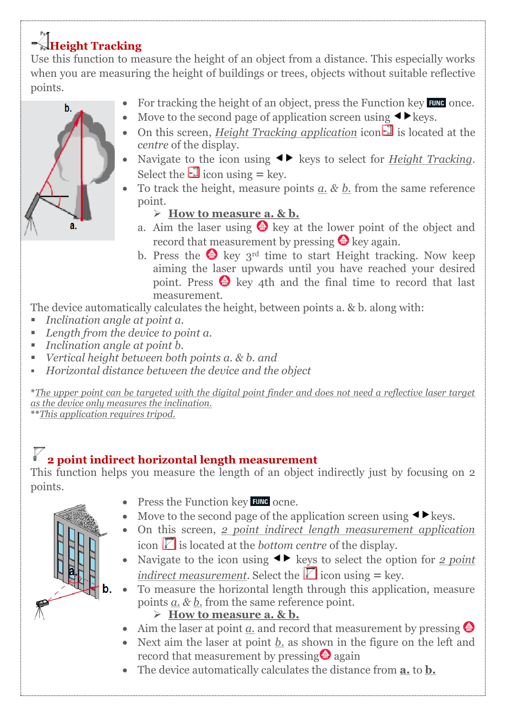# **Height Tracking**

Use this function to measure the height of an object from a distance. This especially works when you are measuring the height of buildings or trees, objects without suitable reflective points.

- For tracking the height of an object, press the Function key FUNC once.
- Move to the second page of application screen using  $\blacktriangleleft \blacktriangleright$  keys.
- On this screen, *Height Tracking application* icon  $\Box$  is located at the *centre* of the display.
- Navigate to the icon using  $\blacktriangleleft\blacktriangleright$  keys to select for <u>Height Tracking</u>. Select the  $\Box$  icon using  $=$  key.
- To track the height, measure points *a. & b.* from the same reference point.
	- **How to measure a. & b.**
	- a. Aim the laser using  $\bullet$  key at the lower point of the object and record that measurement by pressing  $\bullet$  key again.
	- b. Press the  $\bullet$  key 3<sup>rd</sup> time to start Height tracking. Now keep aiming the laser upwards until you have reached your desired point. Press  $\bigcirc$  key 4th and the final time to record that last measurement.

The device automatically calculates the height, between points a. & b. along with:

- *Inclination angle at point a.*
- *Length from the device to point a.*
- *Inclination angle at point b.*
- *Vertical height between both points a. & b. and*
- *Horizontal distance between the device and the object*

**\****The upper point can be targeted with the digital point finder and does not need a reflective laser target as the device only measures the inclination.* 

**\*\****This application requires tripod.*

# **2 point indirect horizontal length measurement**

This function helps you measure the length of an object indirectly just by focusing on 2 points.

- $\bullet$  Press the Function key FUNG ocne.
- Move to the second page of the application screen using  $\blacktriangleleft \blacktriangleright$  keys.
- On this screen, *2 point indirect length measurement application* icon  $\mathbb{\Sigma}$  is located at the *bottom centre* of the display.
- Navigate to the icon using  $\blacktriangleleft\blacktriangleright$  keys to select the option for *2 point indirect measurement*. Select the  $\Box$  icon using = key.
- To measure the horizontal length through this application, measure points *a. & b.* from the same reference point.
	- **How to measure a. & b.**
	- $\bullet$  Aim the laser at point *a*. and record that measurement by pressing  $\bullet$
	- Next aim the laser at point *b.* as shown in the figure on the left and record that measurement by pressing  $\bullet$  again
	- The device automatically calculates the distance from **a.** to **b.**